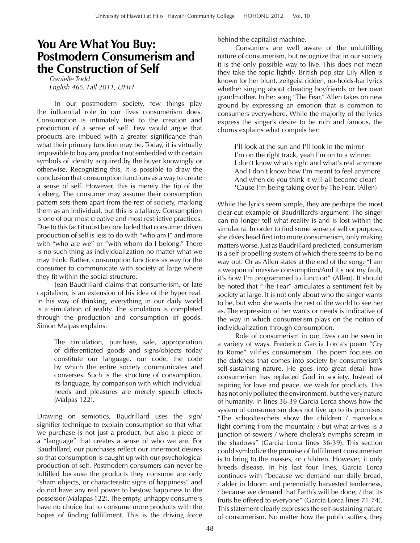## **You Are What You Buy: Postmodern Consumerism and the Construction of Self**

*Danielle Todd English 465, Fall 2011, UHH* 

In our postmodern society, few things play the influential role in our lives consumerism does. Consumption is intimately tied to the creation and production of a sense of self. Few would argue that products are imbued with a greater significance than what their primary function may be. Today, it is virtually impossible to buy any product not embedded with certain symbols of identity acquired by the buyer knowingly or otherwise. Recognizing this, it is possible to draw the conclusion that consumption functions as a way to create a sense of self. However, this is merely the tip of the iceberg. The consumer may assume their consumption pattern sets them apart from the rest of society, marking them as an individual, but this is a fallacy. Consumption is one of our most creative and most restrictive practices. Due to this fact it must be concluded that consumer driven production of self is less to do with "who am I" and more with "who are we" or "with whom do I belong." There is no such thing as individualization no matter what we may think. Rather, consumption functions as way for the consumer to communicate with society at large where they fit within the social structure.

Jean Baudrillard claims that consumerism, or late capitalism, is an extension of his idea of the hyper real. In his way of thinking, everything in our daily world is a simulation of reality. The simulation is completed through the production and consumption of goods. Simon Malpas explains:

> The circulation, purchase, sale, appropriation of differentiated goods and signs/objects today constitute our language, our code, the code by which the entire society communicates and converses. Such is the structure of consumption, its language, by comparison with which individual needs and pleasures are merely speech effects (Malpas 122).

Drawing on semiotics, Baudrillard uses the sign/ signifier technique to explain consumption so that what we purchase is not just a product, but also a piece of a "language" that creates a sense of who we are. For Baudrillard, our purchases reflect our innermost desires so that consumption is caught up with our psychological production of self. Postmodern consumers can never be fulfilled because the products they consume are only "sham objects, or characteristic signs of happiness" and do not have any real power to bestow happiness to the possessor (Malapas 122). The empty, unhappy consumers have no choice but to consume more products with the hopes of finding fulfillment. This is the driving force behind the capitalist machine.

Consumers are well aware of the unfulfilling nature of consumerism, but recognize that in our society it is the only possible way to live. This does not mean they take the topic lightly. British pop star Lily Allen is known for her blunt, zeitgeist ridden, no-holds-bar lyrics whether singing about cheating boyfriends or her own grandmother. In her song "The Fear," Allen takes on new ground by expressing an emotion that is common to consumers everywhere. While the majority of the lyrics express the singer's desire to be rich and famous, the chorus explains what compels her:

> I'll look at the sun and I'll look in the mirror I'm on the right track, yeah I'm on to a winner. I don't know what's right and what's real anymore And I don't know how I'm meant to feel anymore And when do you think it will all become clear? 'Cause I'm being taking over by The Fear. (Allen)

While the lyrics seem simple, they are perhaps the most clear-cut example of Baudrillard's argument. The singer can no longer tell what reality is and is lost within the simulacra. In order to find some sense of self or purpose, she dives head first into more consumerism, only making matters worse. Just as Baudrillard predicted, consumerism is a self-propelling system of which there seems to be no way out. Or as Allen states at the end of the song: "I am a weapon of massive consumption/And it's not my fault, it's how I'm programmed to function" (Allen). It should be noted that "The Fear" articulates a sentiment felt by society at large. It is not only about who the singer wants to be, but who she wants the rest of the world to see her as. The expression of her wants or needs is indicative of the way in which consumerism plays on the notion of individualization through consumption.

Role of consumerism in our lives can be seen in a variety of ways. Frederico Garcia Lorca's poem "Cry to Rome" vilifies consumerism. The poem focuses on the darkness that comes into society by consumerism's self-sustaining nature. He goes into great detail how consumerism has replaced God in society. Instead of aspiring for love and peace, we wish for products. This has not only polluted the environment, but the very nature of humanity. In lines 36-39 Garcia Lorca shows how the system of consumerism does not live up to its promises: "The schoolteachers show the children / marvelous light coming from the mountain; / but what arrives is a junction of sewers / where cholera's nymphs scream in the shadows" (Garcia Lorca lines 36-39). This section could symbolize the promise of fulfillment consumerism is to bring to the masses, or children. However, it only breeds disease. In his last four lines, Garcia Lorca continues with "because we demand our daily bread, / alder in bloom and perennially harvested tenderness, / because we demand that Earth's will be done, / that its fruits be offered to everyone" (Garcia Lorca lines 71-74). This statement clearly expresses the self-sustaining nature of consumerism. No matter how the public suffers, they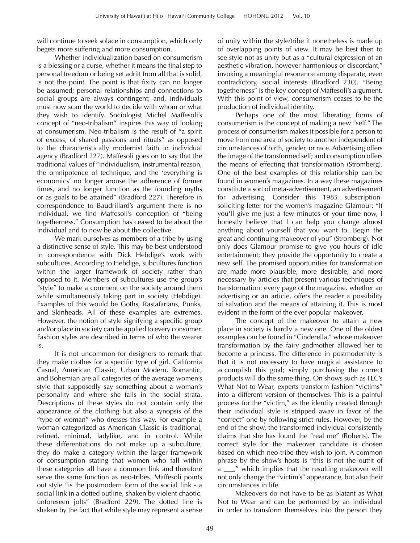will continue to seek solace in consumption, which only begets more suffering and more consumption.

Whether individualization based on consumerism is a blessing or a curse, whether it means the final step to personal freedom or being set adrift from all that is solid, is not the point. The point is that fixity can no longer be assumed; personal relationships and connections to social groups are always contingent; and, individuals must now scan the world to decide with whom or what they wish to identify. Sociologist Michel Maffesoli's concept of "neo-tribalism" inspires this way of looking at consumerism. Neo-tribalism is the result of "a spirit of excess, of shared passions and rituals" as opposed to the characteristically modernist faith in individual agency (Bradford 227). Maffesoli goes on to say that the traditional values of "individualism, instrumental reason, the omnipotence of technique, and the 'everything is economics' no longer arouse the adherence of former times, and no longer function as the founding myths or as goals to be attained" (Bradford 227). Therefore in correspondence to Baudrillard's argument there is no individual, we find Maffesoli's conception of "being togetherness." Consumption has ceased to be about the individual and to now be about the collective.

We mark ourselves as members of a tribe by using a distinctive sense of style. This may be best understood in correspondence with Dick Hebdige's work with subcultures. According to Hebdige, subcultures function within the larger framework of society rather than opposed to it. Members of subcultures use the group's "style" to make a comment on the society around them while simultaneously taking part in society (Hebdige). Examples of this would be Goths, Rastafarians, Punks, and Skinheads. All of these examples are extremes. However, the notion of style signifying a specific group and/or place in society can be applied to every consumer. Fashion styles are described in terms of who the wearer is.

It is not uncommon for designers to remark that they make clothes for a specific type of girl. California Casual, American Classic, Urban Modern, Romantic, and Bohemian are all categories of the average women's style that supposedly say something about a woman's personality and where she falls in the social strata. Descriptions of these styles do not contain only the appearance of the clothing but also a synopsis of the "type of woman" who dresses this way. For example a woman categorized as American Classic is traditional, refined, minimal, ladylike, and in control. While these differentiations do not make up a subculture, they do make a category within the larger framework of consumption stating that women who fall within these categories all have a common link and therefore serve the same function as neo-tribes. Maffesoli points out style "is the postmodern form of the social link - a social link in a dotted outline, shaken by violent chaotic, unforeseen jolts" (Bradford 229). The dotted line is shaken by the fact that while style may represent a sense of unity within the style/tribe it nonetheless is made up of overlapping points of view. It may be best then to see style not as unity but as a "cultural expression of an aesthetic vibration, however harmonious or discordant," invoking a meaningful resonance among disparate, even contradictory, social interests (Bradford 230). "Being togetherness" is the key concept of Maffesoli's argument. With this point of view, consumerism ceases to be the production of individual identity.

Perhaps one of the most liberating forms of consumerism is the concept of making a new "self." The process of consumerism makes it possible for a person to move from one area of society to another independent of circumstances of birth, gender, or race. Advertising offers the image of the transformed self; and consumption offers the means of effecting that transformation (Stromberg). One of the best examples of this relationship can be found in women's magazines. In a way these magazines constitute a sort of meta-advertisement, an advertisement for advertising. Consider this 1985 subscriptionsoliciting letter for the women's magazine Glamour: "If you'll give me just a few minutes of your time now, I honestly believe that I can help you change almost anything about yourself that you want to...Begin the great and continuing makeover of you" (Stromberg). Not only does Glamour promise to give you hours of idle entertainment; they provide the opportunity to create a new self. The promised opportunities for transformation are made more plausible, more desirable, and more necessary by articles that present various techniques of transformation: every page of the magazine, whether an advertising or an article, offers the reader a possibility of salvation and the means of attaining it. This is most evident in the form of the ever popular makeover.

The concept of the makeover to attain a new place in society is hardly a new one. One of the oldest examples can be found in "Cinderella," whose makeover transformation by the fairy godmother allowed her to become a princess. The difference in postmodernity is that it is not necessary to have magical assistance to accomplish this goal; simply purchasing the correct products will do the same thing. On shows such as TLC's What Not to Wear, experts transform fashion "victims" into a different version of themselves. This is a painful process for the "victim," as the identity created through their individual style is stripped away in favor of the "correct" one by following strict rules. However, by the end of the show, the transformed individual consistently claims that she has found the "real me" (Roberts). The correct style for the makeover candidate is chosen based on which neo-tribe they wish to join. A common phrase by the show's hosts is "this is not the outfit of a \_\_\_," which implies that the resulting makeover will not only change the "victim's" appearance, but also their circumstances in life.

Makeovers do not have to be as blatant as What Not to Wear and can be performed by an individual in order to transform themselves into the person they